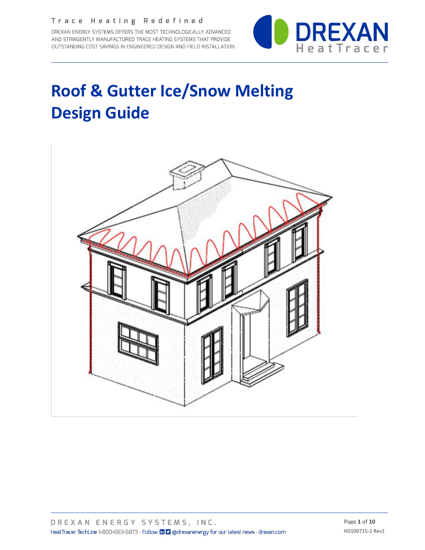DREXAN ENERGY SYSTEMS OFFERS THE MOST TECHNOLOGICALLY ADVANCED AND STRINGENTLY MANUFACTURED TRACE HEATING SYSTEMS THAT PROVIDE OUTSTANDING COST SAVINGS IN ENGINEERED DESIGN AND FIELD INSTALLATION.



## **Roof & Gutter Ice/Snow Melting Design Guide**

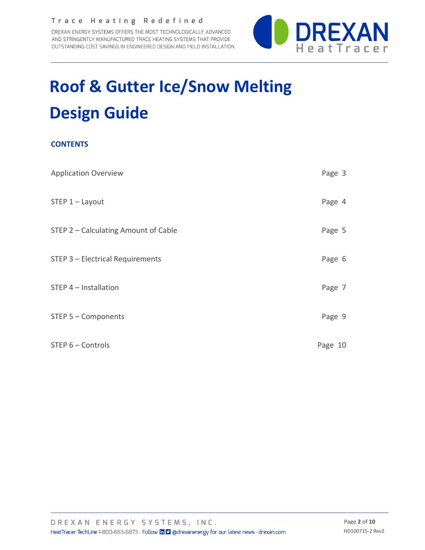DREXAN ENERGY SYSTEMS OFFERS THE MOST TECHNOLOGICALLY ADVANCED AND STRINGENTLY MANUFACTURED TRACE HEATING SYSTEMS THAT PROVIDE OUTSTANDING COST SAVINGS IN ENGINEERED DESIGN AND FIELD INSTALLATION.



# **Roof & Gutter Ice/Snow Melting Design Guide**

### **CONTENTS**

| <b>Application Overview</b>          | Page 3  |
|--------------------------------------|---------|
| $STEP 1 - Layout$                    | Page 4  |
| STEP 2 - Calculating Amount of Cable | Page 5  |
| STEP 3 - Electrical Requirements     | Page 6  |
| STEP 4 - Installation                | Page 7  |
| $STEP 5 - Components$                | Page 9  |
| STEP 6 - Controls                    | Page 10 |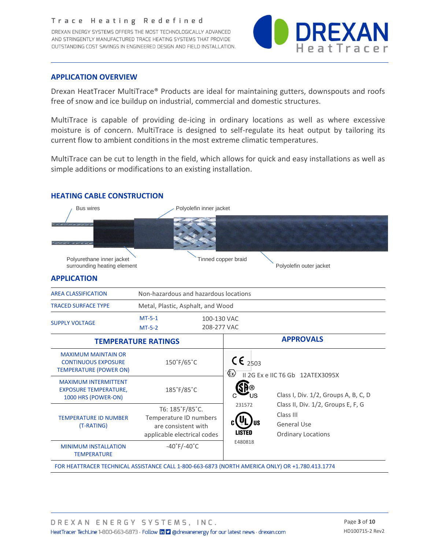DREXAN ENERGY SYSTEMS OFFERS THE MOST TECHNOLOGICALLY ADVANCED AND STRINGENTLY MANUFACTURED TRACE HEATING SYSTEMS THAT PROVIDE OUTSTANDING COST SAVINGS IN ENGINEERED DESIGN AND FIELD INSTALLATION.



#### **APPLICATION OVERVIEW**

Drexan HeatTracer MultiTrace® Products are ideal for maintaining gutters, downspouts and roofs free of snow and ice buildup on industrial, commercial and domestic structures.

MultiTrace is capable of providing de-icing in ordinary locations as well as where excessive moisture is of concern. MultiTrace is designed to self-regulate its heat output by tailoring its current flow to ambient conditions in the most extreme climatic temperatures.

MultiTrace can be cut to length in the field, which allows for quick and easy installations as well as simple additions or modifications to an existing installation.

#### **HEATING CABLE CONSTRUCTION**

| <b>Bus wires</b>                                                                          |                                                                                                 | Polyolefin inner jacket                      |                                                                                                    |  |  |  |  |
|-------------------------------------------------------------------------------------------|-------------------------------------------------------------------------------------------------|----------------------------------------------|----------------------------------------------------------------------------------------------------|--|--|--|--|
|                                                                                           |                                                                                                 |                                              |                                                                                                    |  |  |  |  |
| Polyurethane inner jacket<br>surrounding heating element                                  |                                                                                                 | Tinned copper braid                          | Polyolefin outer jacket                                                                            |  |  |  |  |
| <b>APPLICATION</b>                                                                        |                                                                                                 |                                              |                                                                                                    |  |  |  |  |
| <b>AREA CLASSIFICATION</b>                                                                | Non-hazardous and hazardous locations                                                           |                                              |                                                                                                    |  |  |  |  |
| <b>TRACED SURFACE TYPE</b>                                                                | Metal, Plastic, Asphalt, and Wood                                                               |                                              |                                                                                                    |  |  |  |  |
| <b>SUPPLY VOLTAGE</b>                                                                     | $MT-5-1$<br>100-130 VAC<br>208-277 VAC<br>$MT-5-2$                                              |                                              |                                                                                                    |  |  |  |  |
|                                                                                           | <b>TEMPERATURE RATINGS</b>                                                                      |                                              | <b>APPROVALS</b>                                                                                   |  |  |  |  |
| <b>MAXIMUM MAINTAIN OR</b><br><b>CONTINUOUS EXPOSURE</b><br><b>TEMPERATURE (POWER ON)</b> | 150°F/65°C                                                                                      | $CE_{2503}$<br>$\langle \xi_{\rm X} \rangle$ | II 2G Ex e IIC T6 Gb 12ATEX3095X                                                                   |  |  |  |  |
| <b>MAXIMUM INTERMITTENT</b><br><b>EXPOSURE TEMPERATURE,</b><br>1000 HRS (POWER-ON)        | 185°F/85°C                                                                                      | ΊJS                                          | Class I, Div. 1/2, Groups A, B, C, D                                                               |  |  |  |  |
| <b>TEMPERATURE ID NUMBER</b><br>(T-RATING)                                                | T6: 185°F/85°C.<br>Temperature ID numbers<br>are consistent with<br>applicable electrical codes | 231572<br><b>LISTED</b>                      | Class II, Div. 1/2, Groups E, F, G<br>Class III<br><b>General Use</b><br><b>Ordinary Locations</b> |  |  |  |  |
| <b>MINIMUM INSTALLATION</b><br><b>TEMPERATURE</b>                                         | $-40^\circ$ F/-40 $\degree$ C                                                                   | E480818                                      |                                                                                                    |  |  |  |  |

FOR HEATTRACER TECHNICAL ASSISTANCE CALL 1-800-663-6873 (NORTH AMERICA ONLY) OR +1.780.413.1774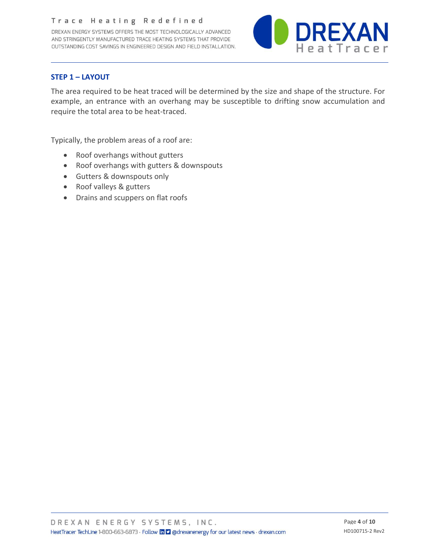DREXAN ENERGY SYSTEMS OFFERS THE MOST TECHNOLOGICALLY ADVANCED AND STRINGENTLY MANUFACTURED TRACE HEATING SYSTEMS THAT PROVIDE OUTSTANDING COST SAVINGS IN ENGINEERED DESIGN AND FIELD INSTALLATION.



#### **STEP 1 – LAYOUT**

The area required to be heat traced will be determined by the size and shape of the structure. For example, an entrance with an overhang may be susceptible to drifting snow accumulation and require the total area to be heat-traced.

Typically, the problem areas of a roof are:

- Roof overhangs without gutters
- Roof overhangs with gutters & downspouts
- Gutters & downspouts only
- Roof valleys & gutters
- Drains and scuppers on flat roofs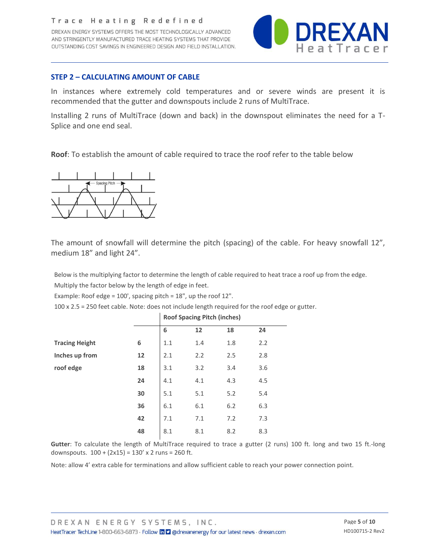DREXAN ENERGY SYSTEMS OFFERS THE MOST TECHNOLOGICALLY ADVANCED AND STRINGENTLY MANUFACTURED TRACE HEATING SYSTEMS THAT PROVIDE OUTSTANDING COST SAVINGS IN ENGINEERED DESIGN AND FIELD INSTALLATION.



#### **STEP 2 – CALCULATING AMOUNT OF CABLE**

In instances where extremely cold temperatures and or severe winds are present it is recommended that the gutter and downspouts include 2 runs of MultiTrace.

Installing 2 runs of MultiTrace (down and back) in the downspout eliminates the need for a T-Splice and one end seal.

**Roof**: To establish the amount of cable required to trace the roof refer to the table below



The amount of snowfall will determine the pitch (spacing) of the cable. For heavy snowfall 12", medium 18" and light 24".

Below is the multiplying factor to determine the length of cable required to heat trace a roof up from the edge. Multiply the factor below by the length of edge in feet.

Example: Roof edge = 100', spacing pitch = 18", up the roof 12".

100 x 2.5 = 250 feet cable. Note: does not include length required for the roof edge or gutter.

|                       |    |     |     | Roof Spacing Pitch (inches)<br>18<br>24<br>2.2<br>1.8<br>2.5<br>2.8 |     |  |  |
|-----------------------|----|-----|-----|---------------------------------------------------------------------|-----|--|--|
|                       |    | 6   | 12  |                                                                     |     |  |  |
| <b>Tracing Height</b> | 6  | 1.1 | 1.4 |                                                                     |     |  |  |
| Inches up from        | 12 | 2.1 | 2.2 |                                                                     |     |  |  |
| roof edge             | 18 | 3.1 | 3.2 | 3.4                                                                 | 3.6 |  |  |
|                       | 24 | 4.1 | 4.1 | 4.3                                                                 | 4.5 |  |  |
|                       | 30 | 5.1 | 5.1 | 5.2                                                                 | 5.4 |  |  |
|                       | 36 | 6.1 | 6.1 | 6.2                                                                 | 6.3 |  |  |
|                       | 42 | 7.1 | 7.1 | 7.2                                                                 | 7.3 |  |  |
|                       | 48 | 8.1 | 8.1 | 8.2                                                                 | 8.3 |  |  |

**Roof Spacing Pitch (inches)**

**Gutter**: To calculate the length of MultiTrace required to trace a gutter (2 runs) 100 ft. long and two 15 ft.-long downspouts.  $100 + (2x15) = 130' \times 2$  runs = 260 ft.

Note: allow 4' extra cable for terminations and allow sufficient cable to reach your power connection point.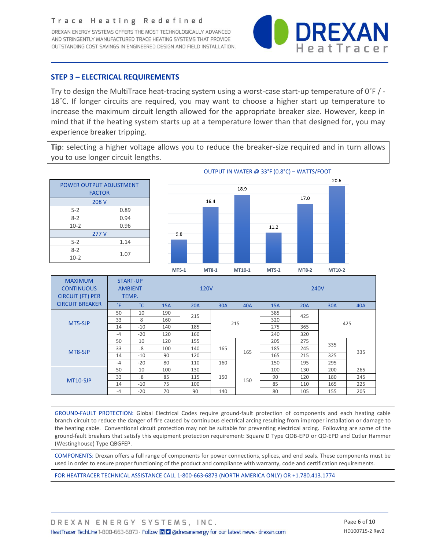DREXAN ENERGY SYSTEMS OFFERS THE MOST TECHNOLOGICALLY ADVANCED AND STRINGENTLY MANUFACTURED TRACE HEATING SYSTEMS THAT PROVIDE OUTSTANDING COST SAVINGS IN ENGINEERED DESIGN AND FIELD INSTALLATION.



#### **STEP 3 – ELECTRICAL REQUIREMENTS**

Try to design the MultiTrace heat-tracing system using a worst-case start-up temperature of 0˚F / - 18˚C. If longer circuits are required, you may want to choose a higher start up temperature to increase the maximum circuit length allowed for the appropriate breaker size. However, keep in mind that if the heating system starts up at a temperature lower than that designed for, you may experience breaker tripping.

**Tip**: selecting a higher voltage allows you to reduce the breaker-size required and in turn allows you to use longer circuit lengths.



| <b>MAXIMUM</b><br><b>CONTINUOUS</b><br><b>CIRCUIT (FT) PER</b><br><b>CIRCUIT BREAKER</b> |             | <b>START-UP</b><br><b>AMBIENT</b><br>TEMP. |            | <b>120V</b> |                   |     | <b>240V</b> |            |            |     |     |
|------------------------------------------------------------------------------------------|-------------|--------------------------------------------|------------|-------------|-------------------|-----|-------------|------------|------------|-----|-----|
|                                                                                          | $\degree$ F | °C.                                        | <b>15A</b> | <b>20A</b>  | 30A               | 40A | <b>15A</b>  | <b>20A</b> | 30A        | 40A |     |
| MT5-SJP                                                                                  | 50          | 10                                         | 190        | 215         | 215               |     | 385         | 425        | 425        |     |     |
|                                                                                          | 33          | 8                                          | 160        |             |                   |     | 320         |            |            |     |     |
|                                                                                          | 14          | $-10$                                      | 140        | 185         |                   |     | 275         | 365        |            |     |     |
|                                                                                          | $-4$        | $-20$                                      | 120        | 160         |                   |     | 240         | 320        |            |     |     |
| MT8-SJP                                                                                  | 50          | 10                                         | 120        | 155         | 165<br>165<br>160 |     |             | 205        | 275        | 335 |     |
|                                                                                          | 33          | $.8\,$                                     | 100        | 140         |                   |     | 185         | 245        |            |     |     |
|                                                                                          | 14          | $-10$                                      | 90         | 120         |                   |     | 165         | 215        | 335<br>325 |     |     |
|                                                                                          | $-4$        | $-20$                                      | 80         | 110         |                   |     | 150         | 195        | 295        |     |     |
| MT10-SJP                                                                                 | 50          | 10                                         | 100        | 130         | 150<br>140        |     |             | 100        | 130        | 200 | 265 |
|                                                                                          | 33          | .8                                         | 85         | 115         |                   |     | 90          | 120        | 180        | 245 |     |
|                                                                                          | 14          | $-10$                                      | 75         | 100         |                   |     | 150         | 85         | 110        | 165 | 225 |
|                                                                                          | $-4$        | $-20$                                      | 70         | 90          |                   |     | 80          | 105        | 155        | 205 |     |

GROUND-FAULT PROTECTION: Global Electrical Codes require ground-fault protection of components and each heating cable branch circuit to reduce the danger of fire caused by continuous electrical arcing resulting from improper installation or damage to the heating cable. Conventional circuit protection may not be suitable for preventing electrical arcing. Following are some of the ground-fault breakers that satisfy this equipment protection requirement: Square D Type QOB-EPD or QO-EPD and Cutler Hammer (Westinghouse) Type QBGFEP.

COMPONENTS: Drexan offers a full range of components for power connections, splices, and end seals. These components must be used in order to ensure proper functioning of the product and compliance with warranty, code and certification requirements.

FOR HEATTRACER TECHNICAL ASSISTANCE CALL 1-800-663-6873 (NORTH AMERICA ONLY) OR +1.780.413.1774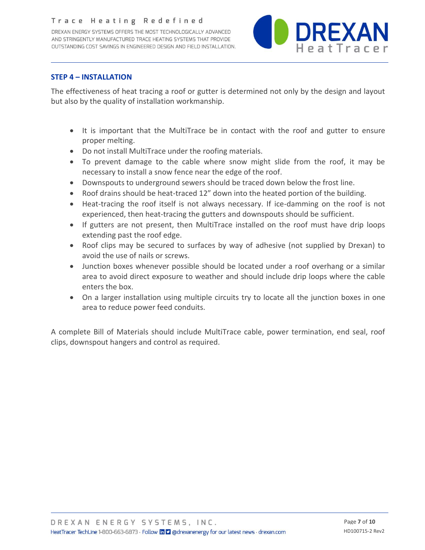DREXAN ENERGY SYSTEMS OFFERS THE MOST TECHNOLOGICALLY ADVANCED AND STRINGENTLY MANUFACTURED TRACE HEATING SYSTEMS THAT PROVIDE OUTSTANDING COST SAVINGS IN ENGINEERED DESIGN AND FIELD INSTALLATION.



#### **STEP 4 – INSTALLATION**

The effectiveness of heat tracing a roof or gutter is determined not only by the design and layout but also by the quality of installation workmanship.

- It is important that the MultiTrace be in contact with the roof and gutter to ensure proper melting.
- Do not install MultiTrace under the roofing materials.
- To prevent damage to the cable where snow might slide from the roof, it may be necessary to install a snow fence near the edge of the roof.
- Downspouts to underground sewers should be traced down below the frost line.
- Roof drains should be heat-traced 12" down into the heated portion of the building.
- Heat-tracing the roof itself is not always necessary. If ice-damming on the roof is not experienced, then heat-tracing the gutters and downspouts should be sufficient.
- If gutters are not present, then MultiTrace installed on the roof must have drip loops extending past the roof edge.
- Roof clips may be secured to surfaces by way of adhesive (not supplied by Drexan) to avoid the use of nails or screws.
- Junction boxes whenever possible should be located under a roof overhang or a similar area to avoid direct exposure to weather and should include drip loops where the cable enters the box.
- On a larger installation using multiple circuits try to locate all the junction boxes in one area to reduce power feed conduits.

A complete Bill of Materials should include MultiTrace cable, power termination, end seal, roof clips, downspout hangers and control as required.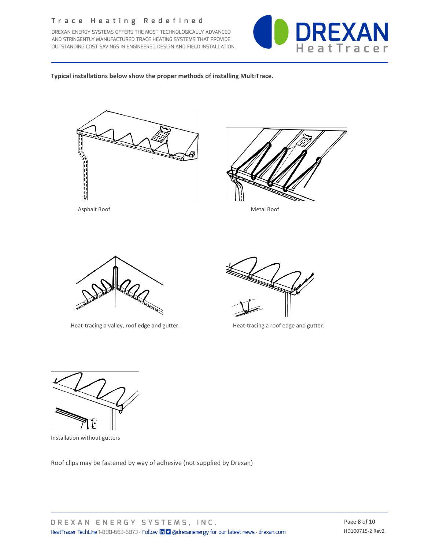DREXAN ENERGY SYSTEMS OFFERS THE MOST TECHNOLOGICALLY ADVANCED AND STRINGENTLY MANUFACTURED TRACE HEATING SYSTEMS THAT PROVIDE OUTSTANDING COST SAVINGS IN ENGINEERED DESIGN AND FIELD INSTALLATION.



**Typical installations below show the proper methods of installing MultiTrace.**





Asphalt Roof Metal Roof



Heat-tracing a valley, roof edge and gutter. Heat-tracing a roof edge and gutter.





Installation without gutters

Roof clips may be fastened by way of adhesive (not supplied by Drexan)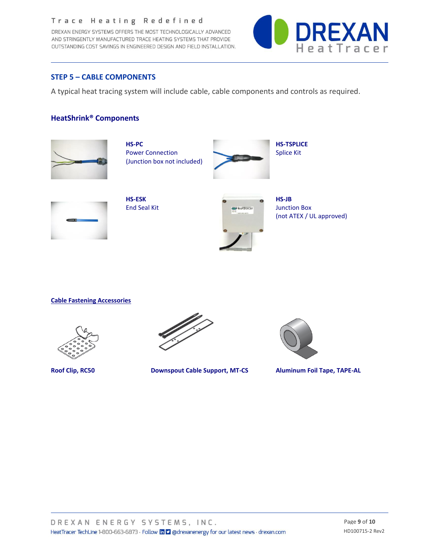DREXAN ENERGY SYSTEMS OFFERS THE MOST TECHNOLOGICALLY ADVANCED AND STRINGENTLY MANUFACTURED TRACE HEATING SYSTEMS THAT PROVIDE OUTSTANDING COST SAVINGS IN ENGINEERED DESIGN AND FIELD INSTALLATION.



#### **STEP 5 – CABLE COMPONENTS**

A typical heat tracing system will include cable, cable components and controls as required.

#### **HeatShrink® Components**



(Junction box not included)





(not ATEX / UL approved)

#### **Cable Fastening Accessories**





**Roof Clip, RC50 Downspout Cable Support, MT-CS Aluminum Foil Tape, TAPE-AL**